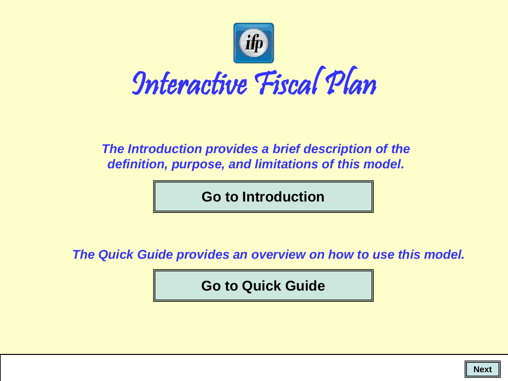

#### *The Introduction provides a brief description of the definition, purpose, and limitations of this model.*

**[Go to Introduction](#page-1-0)**

<span id="page-0-0"></span>*The Quick Guide provides an overview on how to use this model.*

**[Go to Quick Guide](#page-5-0)**

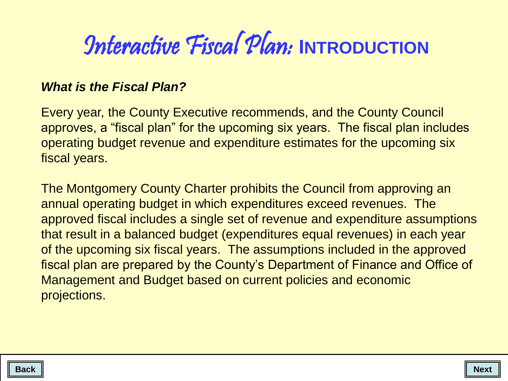# *<u>Interactive Fiscal Plan: INTRODUCTION*</u>

#### *What is the Fiscal Plan?*

Every year, the County Executive recommends, and the County Council approves, a "fiscal plan" for the upcoming six years. The fiscal plan includes operating budget revenue and expenditure estimates for the upcoming six fiscal years.

<span id="page-1-0"></span>The Montgomery County Charter prohibits the Council from approving an annual operating budget in which expenditures exceed revenues. The approved fiscal includes a single set of revenue and expenditure assumptions that result in a balanced budget (expenditures equal revenues) in each year of the upcoming six fiscal years. The assumptions included in the approved fiscal plan are prepared by the County's Department of Finance and Office of Management and Budget based on current policies and economic projections.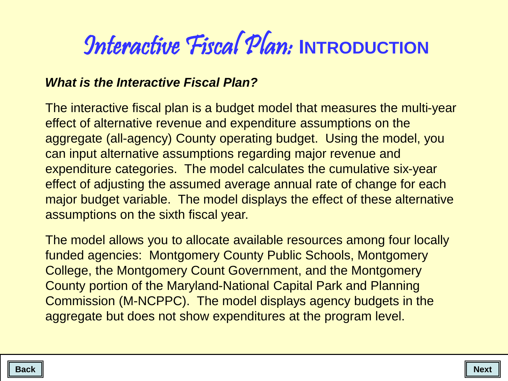# *<u>Interactive Fiscal Plan: INTRODUCTION*</u>

#### *What is the Interactive Fiscal Plan?*

The interactive fiscal plan is a budget model that measures the multi-year effect of alternative revenue and expenditure assumptions on the aggregate (all-agency) County operating budget. Using the model, you can input alternative assumptions regarding major revenue and expenditure categories. The model calculates the cumulative six-year effect of adjusting the assumed average annual rate of change for each major budget variable. The model displays the effect of these alternative assumptions on the sixth fiscal year.

The model allows you to allocate available resources among four locally funded agencies: Montgomery County Public Schools, Montgomery College, the Montgomery Count Government, and the Montgomery County portion of the Maryland-National Capital Park and Planning Commission (M-NCPPC). The model displays agency budgets in the aggregate but does not show expenditures at the program level.

<span id="page-2-0"></span>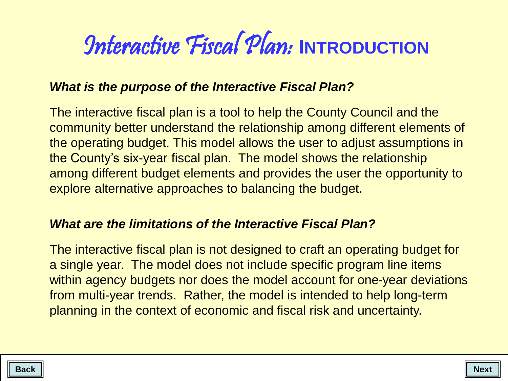# **Interactive Fiscal Plan: INTRODUCTION**

#### *What is the purpose of the Interactive Fiscal Plan?*

The interactive fiscal plan is a tool to help the County Council and the community better understand the relationship among different elements of the operating budget. This model allows the user to adjust assumptions in the County's six-year fiscal plan. The model shows the relationship among different budget elements and provides the user the opportunity to explore alternative approaches to balancing the budget.

#### *What are the limitations of the Interactive Fiscal Plan?*

The interactive fiscal plan is not designed to craft an operating budget for a single year. The model does not include specific program line items within agency budgets nor does the model account for one-year deviations from multi-year trends. Rather, the model is intended to help long-term planning in the context of economic and fiscal risk and uncertainty.

<span id="page-3-0"></span>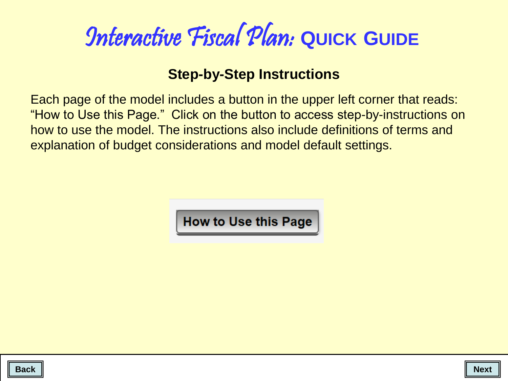### **Step-by-Step Instructions**

Each page of the model includes a button in the upper left corner that reads: "How to Use this Page." Click on the button to access step-by-instructions on how to use the model. The instructions also include definitions of terms and explanation of budget considerations and model default settings.

**How to Use this Page** 

<span id="page-4-0"></span>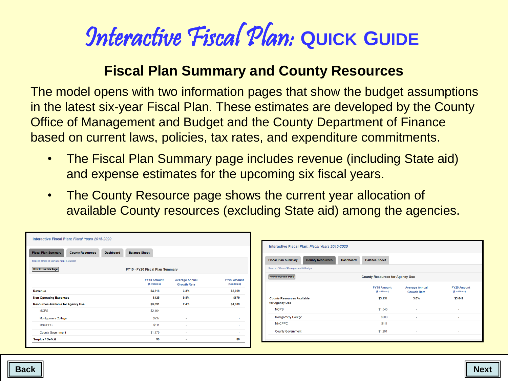### **Fiscal Plan Summary and County Resources**

The model opens with two information pages that show the budget assumptions in the latest six-year Fiscal Plan. These estimates are developed by the County Office of Management and Budget and the County Department of Finance based on current laws, policies, tax rates, and expenditure commitments.

- The Fiscal Plan Summary page includes revenue (including State aid) and expense estimates for the upcoming six fiscal years.
- The County Resource page shows the current year allocation of available County resources (excluding State aid) among the agencies.

<span id="page-5-0"></span>

| Interactive Fiscal Plan: Fiscal Years 2015-2020                    |                                 |                                             |                                     |                                                       |                                          |                                             |                                     |
|--------------------------------------------------------------------|---------------------------------|---------------------------------------------|-------------------------------------|-------------------------------------------------------|------------------------------------------|---------------------------------------------|-------------------------------------|
| Dashboard<br><b>Fiscal Plan Summary</b><br><b>County Resources</b> | <b>Balance Sheet</b>            |                                             |                                     | Interactive Fiscal Plan: Fiscal Years 2015-2020       |                                          |                                             |                                     |
| Source: Office of Management & Budget                              |                                 |                                             |                                     | <b>County Resources</b><br><b>Fiscal Plan Summary</b> | <b>Balance Sheet</b><br><b>Dashboard</b> |                                             |                                     |
| How to Use this Page                                               | FY15 - FY20 Fiscal Plan Summary |                                             |                                     | Source: Office of Management & Budget                 |                                          |                                             |                                     |
|                                                                    | FY15 Amount<br>(\$ millions)    | <b>Average Annual</b><br><b>Growth Rate</b> | <b>FY20 Amount</b><br>(\$ millions) | How to Use this Page                                  | <b>County Resources for Agency Use</b>   |                                             |                                     |
| Revenue                                                            | \$4,316                         | 3.3%                                        | \$5,069                             |                                                       | FY15 Amount<br>(\$ millions)             | <b>Average Annual</b><br><b>Growth Rate</b> | <b>FY20 Amount</b><br>(\$ millions) |
| <b>Non-Operating Expenses</b>                                      | \$425                           | 9.8%                                        | \$679                               | <b>County Resources Available</b>                     | \$3,151                                  | 3.0%                                        | \$3,649                             |
| Resources Available for Agency Use                                 | \$3,891                         | 2.4%                                        | \$4,389                             | for Agency Use                                        |                                          |                                             |                                     |
| <b>MCPS</b>                                                        | \$2,164                         | a.                                          | $\sim$                              | <b>MCPS</b>                                           | \$1,545                                  |                                             |                                     |
| <b>Montgomery College</b>                                          | \$237                           |                                             |                                     | <b>Montgomery College</b>                             | \$203                                    |                                             |                                     |
| <b>MNCPPC</b>                                                      | \$111                           |                                             | $\sim$                              | <b>MNCPPC</b>                                         | \$111                                    |                                             |                                     |
| <b>County Government</b>                                           | \$1,379                         | <b>COL</b>                                  | . .                                 | <b>County Government</b>                              | \$1,291                                  |                                             |                                     |
| <b>Surplus / Deficit</b>                                           | \$0                             | $\sim$                                      | \$0                                 |                                                       |                                          |                                             |                                     |
|                                                                    |                                 |                                             |                                     |                                                       |                                          |                                             |                                     |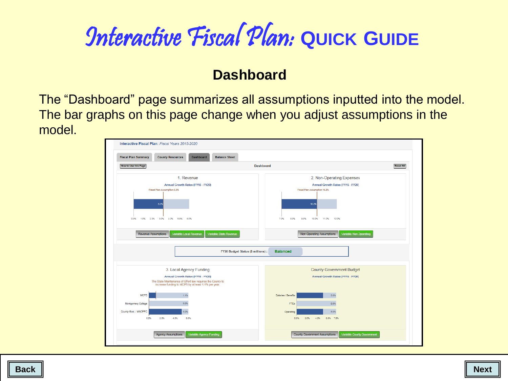### **Dashboard**

The "Dashboard" page summarizes all assumptions inputted into the model. The bar graphs on this page change when you adjust assumptions in the model.

<span id="page-6-0"></span>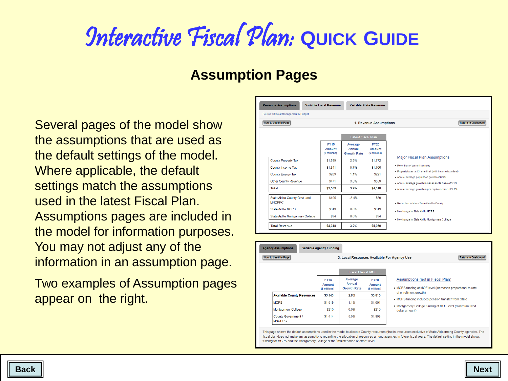#### **Assumption Pages**

Several pages of the model show the assumptions that are used as the default settings of the model. Where applicable, the default settings match the assumptions used in the latest Fiscal Plan. Assumptions pages are included in the model for information purposes. You may not adjust any of the information in an assumption page.

<span id="page-7-0"></span>Two examples of Assumption pages appear on the right.

| <b>Revenue Assumptions</b>                     | Variable Local Revenue                 |                                         | Variable State Revenue                 |                                                                                                          |
|------------------------------------------------|----------------------------------------|-----------------------------------------|----------------------------------------|----------------------------------------------------------------------------------------------------------|
| Source: Office of Management & Budget          |                                        |                                         |                                        |                                                                                                          |
| <b>How to Use this Page</b>                    |                                        |                                         | 1. Revenue Assumptions                 | <b>Return to Dashboard</b>                                                                               |
|                                                |                                        |                                         |                                        |                                                                                                          |
|                                                |                                        | <b>Latest Fiscal Plan</b>               |                                        |                                                                                                          |
|                                                | <b>FY15</b><br>Amount<br>(\$ millions) | Average<br>Annual<br><b>Growth Rate</b> | <b>FY20</b><br>Amount<br>(\$ millions) |                                                                                                          |
| <b>County Property Tax</b>                     | \$1,539                                | 2.9%                                    | \$1,772                                | <b>Major Fiscal Plan Assumptions</b>                                                                     |
| <b>County Income Tax</b>                       | \$1,341                                | 5.7%                                    | \$1,766                                | . Retention of current tax rates                                                                         |
| <b>County Energy Tax</b>                       | \$209                                  | 1 1%                                    | \$221                                  | . Property taxes at Charter limit (with income tax offset)<br>. Annual average population growth of 0.9% |
| <b>Other County Revenue</b>                    | \$471                                  | 3.5%                                    | \$559                                  | . Annual average growth in assessable base of 5.1%                                                       |
| <b>Total</b>                                   | \$3,559                                | 3.9%                                    | \$4,318                                | . Annual average growth in per capita income of 3.1%                                                     |
| State Aid to County Govt. and<br><b>MNCPPC</b> | \$105                                  | $-3.4%$                                 | \$89                                   | . Reduction in Mass Transit Aid to County                                                                |
| <b>State Aid to MCPS</b>                       | \$619                                  | 0.0%                                    | \$619                                  | . No change in State Aid to MCPS                                                                         |
| State Aid to Montgomery College                | \$34                                   | 0.0%                                    | \$34                                   | . No change in State Aid to Montgomery College                                                           |
| <b>Total Revenue</b>                           | \$4,318                                | 3.2%                                    | \$5,059                                |                                                                                                          |

| <b>How to Use this Page</b><br>3. Local Resources Available For Agency Use<br><b>Return to Dashboard</b> |                                        |                                         |                                        |                                                                                                 |  |  |  |  |  |
|----------------------------------------------------------------------------------------------------------|----------------------------------------|-----------------------------------------|----------------------------------------|-------------------------------------------------------------------------------------------------|--|--|--|--|--|
|                                                                                                          |                                        | <b>Fiscal Plan at MOE</b>               |                                        |                                                                                                 |  |  |  |  |  |
|                                                                                                          | <b>FY15</b><br>Amount<br>(\$ millions) | Average<br>Annual<br><b>Growth Rate</b> | <b>FY20</b><br>Amount<br>(\$ millions) | Assumptions (not in Fiscal Plan)<br>• MCPS funding at MOE level (increases proportional to rate |  |  |  |  |  |
| <b>Available County Resources</b>                                                                        | \$3,143                                | 2.8%                                    | \$3,615                                | of enrollment growth)                                                                           |  |  |  |  |  |
| <b>MCPS</b>                                                                                              | \$1,519                                | 1.1%                                    | \$1,601                                | • MCPS funding includes pension transfer from State                                             |  |  |  |  |  |
| <b>Montgomery College</b>                                                                                | \$210                                  | 0.0%                                    | \$210                                  | • Montgomery College funding at MOE level (minimum fixed<br>dollar amount)                      |  |  |  |  |  |
| County Government /<br><b>MNCPPC</b>                                                                     | <b>S1.414</b>                          | 5.0%                                    | \$1,803                                |                                                                                                 |  |  |  |  |  |

fiscal plan does not make any assumptions regarding the allocation of resources among agencies in future fiscal years. The default setting in the model shows funding for MCPS and the Montgomery College at the "maintenance of effort" level.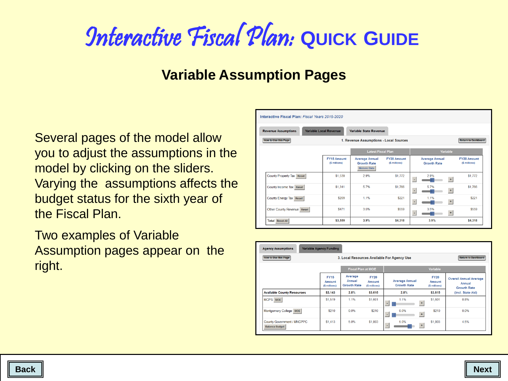#### **Variable Assumption Pages**

Several pages of the model allow you to adjust the assumptions in the model by clicking on the sliders. Varying the assumptions affects the budget status for the sixth year of the Fiscal Plan.

<span id="page-8-0"></span>Two examples of Variable Assumption pages appear on the right.

| Variable Local Revenue<br>Variable State Revenue<br><b>Revenue Assumptions</b>                      |                                     |                                                                     |                                     |   |                                             |                                     |  |  |  |
|-----------------------------------------------------------------------------------------------------|-------------------------------------|---------------------------------------------------------------------|-------------------------------------|---|---------------------------------------------|-------------------------------------|--|--|--|
| <b>How to Use this Page</b><br><b>Return to Dashboard</b><br>1. Revenue Assumptions - Local Sources |                                     |                                                                     |                                     |   |                                             |                                     |  |  |  |
|                                                                                                     |                                     | <b>Latest Fiscal Plan</b>                                           |                                     |   | Variable                                    |                                     |  |  |  |
|                                                                                                     | <b>FY15 Amount</b><br>(\$ millions) | <b>Average Annual</b><br><b>Growth Rate</b><br><b>Historic Data</b> | <b>FY20 Amount</b><br>(\$ millions) |   | <b>Average Annual</b><br><b>Growth Rate</b> | <b>FY20 Amount</b><br>(\$ millions) |  |  |  |
| County Property Tax Reset                                                                           | \$1,539                             | 29%                                                                 | \$1,772                             | ٠ | 2.9%<br>$\ddot{}$                           | \$1,772                             |  |  |  |
| County Income Tax Reset                                                                             | \$1,341                             | 5.7%                                                                | \$1,766                             | ٠ | 5.7%<br>$\pm$                               | \$1,766                             |  |  |  |
| County Energy Tax Reset                                                                             | \$209                               | 1.1%                                                                | \$221                               | ٠ | 1.1%<br>$\pm$                               | \$221                               |  |  |  |
| Other County Revenue Reset                                                                          | \$471                               | 3.5%                                                                | \$559                               | ٠ | 3.5%<br>$+$                                 | \$559                               |  |  |  |
| <b>Total Reset All</b>                                                                              | \$3,559                             | 3.9%                                                                | \$4,318                             |   | 3.9%                                        | \$4,318                             |  |  |  |

| <b>How to Use this Page</b><br><b>Return to Dashboard</b><br>3. Local Resources Available For Agency Use |                                        |                                         |                                        |                                             |                                        |                                                               |  |  |
|----------------------------------------------------------------------------------------------------------|----------------------------------------|-----------------------------------------|----------------------------------------|---------------------------------------------|----------------------------------------|---------------------------------------------------------------|--|--|
|                                                                                                          |                                        | <b>Fiscal Plan at MOE</b>               |                                        |                                             |                                        |                                                               |  |  |
|                                                                                                          | <b>FY15</b><br>Amount<br>(\$ millions) | Average<br>Annual<br><b>Growth Rate</b> | <b>FY20</b><br>Amount<br>(\$ millions) | <b>Average Annual</b><br><b>Growth Rate</b> | <b>FY20</b><br>Amount<br>(\$ millions) | <b>Overall Annual Average</b><br>Annual<br><b>Growth Rate</b> |  |  |
| <b>Available County Resources</b>                                                                        | \$3,143                                | 2.8%                                    | \$3,615                                | 2.8%                                        | \$3,615                                | (incl. State Aid)                                             |  |  |
| MCPS MOE                                                                                                 | \$1,519                                | 1.1%                                    | \$1,601                                | 1.1%<br>$\pm$                               | \$1,601                                | 0.8%                                                          |  |  |
| Montgomery College MOE                                                                                   | \$210                                  | 0.0%                                    | \$210                                  | 0.0%<br>$+$<br>٠                            | \$210                                  | 0.0%                                                          |  |  |
| County Government / MNCPPC<br><b>Balance Budget</b>                                                      | \$1,413                                | 5.0%                                    | \$1,803                                | 5.0%<br>$+$<br>٠                            | \$1,803                                | 4.5%                                                          |  |  |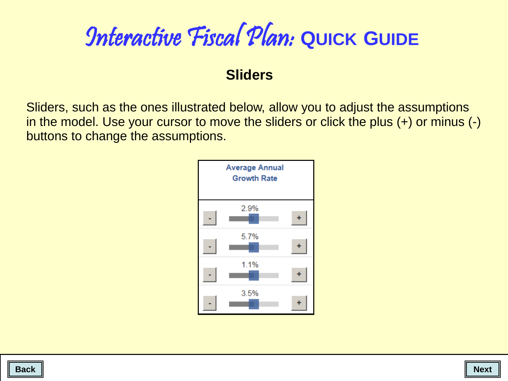#### **Sliders**

Sliders, such as the ones illustrated below, allow you to adjust the assumptions in the model. Use your cursor to move the sliders or click the plus (+) or minus (-) buttons to change the assumptions.



<span id="page-9-0"></span>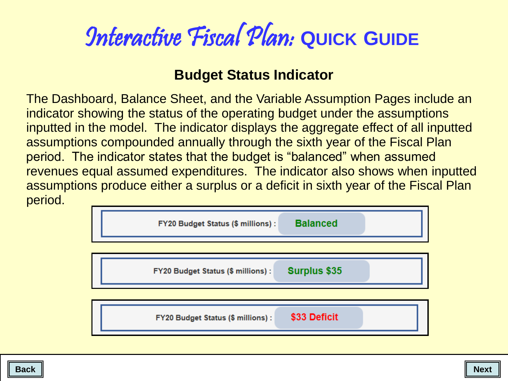### **Budget Status Indicator**

The Dashboard, Balance Sheet, and the Variable Assumption Pages include an indicator showing the status of the operating budget under the assumptions inputted in the model. The indicator displays the aggregate effect of all inputted assumptions compounded annually through the sixth year of the Fiscal Plan period. The indicator states that the budget is "balanced" when assumed revenues equal assumed expenditures. The indicator also shows when inputted assumptions produce either a surplus or a deficit in sixth year of the Fiscal Plan period.



<span id="page-10-0"></span>